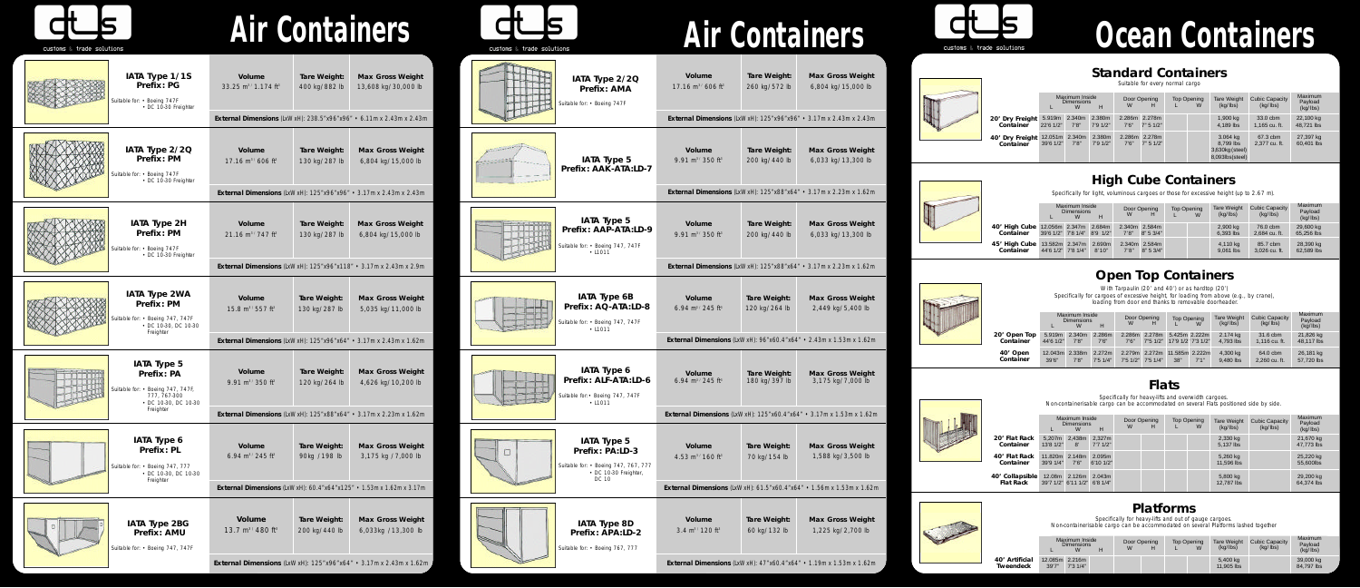## **Standard Containers**

Suitable for every normal cargo

## **Open Top Containers**



With Tarpaulin (20' and 40') or as hardtop (20') Specifically for cargoes of excessive height, for loading from above (e.g., by crane), loading from door end thanks to removable doorheader.

## **Flats**

Specifically for heavy-lifts and overwidth cargoes. Non-containerisable cargo can be accommodated on several Flats positioned side by side.

|  | <b>Platforms</b> |  |
|--|------------------|--|
|  |                  |  |

Specifically for heavy-lifts and out of gauge cargoes. Non-containerisable cargo can be accommodated on several Platforms lashed together

|                              |                               | Maximum Inside<br><b>Dimensions</b> | н                   | W               | Door Opening<br>н          | <b>Top Opening</b> | <b>Tare Weight</b><br>(kq/lbs)                              | <b>Cubic Capacity</b><br>(kq/lbs) | Maximum<br>Payload<br>(kg/lbs) |
|------------------------------|-------------------------------|-------------------------------------|---------------------|-----------------|----------------------------|--------------------|-------------------------------------------------------------|-----------------------------------|--------------------------------|
| 20' Dry Freight<br>Container | 5.919m<br>$22'6$ 1/2"         | 2.340m<br>7'8''                     | 2.380m<br>7'9'1/2'' | 7'6''           | 2.286m 2.278m<br>7" 5 1/2" |                    | 1,900 kg<br>4,189 lbs                                       | 33.0 cbm<br>1,165 cu. ft.         | 22,100 kg<br>48,721 lbs        |
| 40' Dry Freight<br>Container | 12.051m 2.340m<br>$39'6$ 1/2" | 7'8''                               | 2.380m<br>7'91/2"   | 2.286m<br>7'6'' | 2.278m<br>7" 5 1/2"        |                    | 3.064 kg<br>8.799 lbs<br>3,630kg (steel)<br>8,093lbs(steel) | 67.3 cbm<br>2.377 cu. ft.         | 27,397 kg<br>60.401 lbs        |

|                           | Maximum Inside<br><b>Dimensions</b><br>W<br>н |                 |                   | W                 | Door Opening       | <b>Top Opening</b> | W                                   | <b>Tare Weight</b><br>(kq/lbs) | <b>Cubic Capacity</b><br>(kq/lbs) | Maximum<br>Payload<br>(kq/lbs) |
|---------------------------|-----------------------------------------------|-----------------|-------------------|-------------------|--------------------|--------------------|-------------------------------------|--------------------------------|-----------------------------------|--------------------------------|
| 20' Open Top<br>Container | 5.919m<br>44'6 1/2"                           | 2.340m<br>7'8'' | 2.286m<br>7'6''   | 2.286m<br>7'6''   | 2.278m<br>7"5'1/2" |                    | 5.425m 2.222m<br>17'9 1/2' 7'3 1/2" | 2.174 kg<br>4,793 lbs          | 31.6 cbm<br>1,116 cu. ft.         | 21,826 kg<br>48,117 lbs        |
| 40' Open<br>Container     | 12.043m 2.338m<br>39'6''                      | 7'8''           | 2.272m<br>7'51/4" | 2.279m<br>7'51/2" | 2.272m<br>7'51/4"  | 38"                | 11,585m 2,222m<br>7'1''             | 4,300 kg<br>9.480 lbs          | 64.0 cbm<br>2,260 cu. ft.         | 26,181 kg<br>57,720 lbs        |

|                              | Maximum Inside<br><b>Dimensions</b><br>н<br>W |                                        |                     | W | Door Opening<br>н | <b>Top Opening</b><br>W | <b>Tare Weight</b><br>(kq/lbs) | <b>Cubic Capacity</b><br>(kq/lbs) | Maximum<br>Payload<br>(kq/lbs) |
|------------------------------|-----------------------------------------------|----------------------------------------|---------------------|---|-------------------|-------------------------|--------------------------------|-----------------------------------|--------------------------------|
| 20' Flat Rack<br>Container   | 5.207m<br>$13'8$ $1/2"$                       | 2.438m<br>$\mathsf{R}'$                | 2.327m<br>7'71/2"   |   |                   |                         | 2,330 kg<br>5,137 lbs          |                                   | 21,670 kg<br>47,773 lbs        |
| 40' Flat Rack<br>Container   | 11.820m 2.148m<br>$39'9$ $1/4"$               | 7'6''                                  | 2.095m<br>6'10'1/2" |   |                   |                         | 5,260 kg<br>11,596 lbs         |                                   | 25,220 kg<br>55,600lbs         |
| 40' Collapsible<br>Flat Rack | 12.08m                                        | 2.126m<br>39'7 1/2" 6'11 1/2" 6'8 1/4" | 2.043m              |   |                   |                         | 5,800 kg<br>12,787 lbs         |                                   | 29,200 kg<br>64.374 lbs        |



|                             | Maximum Inside<br><b>Dimensions</b> | Door Opening<br>W |  | <b>Top Opening</b><br>W | <b>Tare Weight</b><br>(kq/lbs) | Cubic Capacity<br>(kq/lbs) | Maximum<br>Pavload<br>(kq/lbs) |  |                         |
|-----------------------------|-------------------------------------|-------------------|--|-------------------------|--------------------------------|----------------------------|--------------------------------|--|-------------------------|
| 40' Artificial<br>Tweendeck | 12.085m 2.216m<br>39'7''            | 7'31/4"           |  |                         |                                |                            | 5,400 kg<br>11,905 lbs         |  | 39,000 kg<br>84.797 lbs |





| IATA Type 1/1S<br><b>Prefix: PG</b><br>Suitable for: • Boeing 747F<br>• DC 10-30 Freighter                                        | <b>Volume</b><br>33.25 m <sup>3</sup> / 1.174 ft <sup>3</sup><br>External Dimensions (LxWxH): 238.5"x96"x96" • 6.11m x 2.43m x 2.43m                                                                                                            | <b>Tare Weight:</b><br>400 kg/882 lb | <b>Max Gross Weight</b><br>13,608 kg/30,000 lb | IATA Type 2/2Q<br><b>Prefix: AMA</b><br>Suitable for: • Boeing 747F                                                  |
|-----------------------------------------------------------------------------------------------------------------------------------|-------------------------------------------------------------------------------------------------------------------------------------------------------------------------------------------------------------------------------------------------|--------------------------------------|------------------------------------------------|----------------------------------------------------------------------------------------------------------------------|
| IATA Type 2/2Q<br><b>Prefix: PM</b><br>Suitable for: • Boeing 747F<br>• DC 10-30 Freighter                                        | <b>Volume</b><br>17.16 $\text{m}^3$ / 606 ft <sup>3</sup><br>External Dimensions (LxWxH): 125"x96"x96" • 3.17m x 2.43m x 2.43m                                                                                                                  | <b>Tare Weight:</b><br>130 kg/287 lb | <b>Max Gross Weight</b><br>6,804 kg/15,000 lb  | <b>IATA Type 5</b><br>Prefix: AAK-ATA:LD-7                                                                           |
| <b>IATA Type 2H</b><br><b>Prefix: PM</b><br>Suitable for: • Boeing 747F<br>• DC 10-30 Freighter                                   | <b>Volume</b><br>21.16 $\text{m}^{3}$ / 747 ft <sup>3</sup><br>External Dimensions (LxWxH): 125"x96"x118" • 3.17m x 2.43m x 2.9m                                                                                                                | <b>Tare Weight:</b><br>130 kg/287 lb | <b>Max Gross Weight</b><br>6,804 kg/15,000 lb  | IATA Type 5<br>Prefix: AAP-ATA:LD-9<br>Suitable for: • Boeing 747, 747F<br>• 11011                                   |
| <b>IATA Type 2WA</b><br><b>Prefix: PM</b><br>Suitable for: • Boeing 747, 747F<br>• DC 10-30, DC 10-30<br>Freighter                | <b>Volume</b><br>15.8 $\mathrm{m}^{3}$ / 557 ft <sup>3</sup><br>External Dimensions (LxWxH): 125"x96"x64" • 3.17m x 2.43m x 1.62m                                                                                                               | <b>Tare Weight:</b><br>130 kg/287 lb | <b>Max Gross Weight</b><br>5,035 kg/11,000 lb  | <b>IATA Type 6B</b><br>Prefix: AQ-ATA:LD-8<br>Suitable for: • Boeing 747, 747F<br>• 11011                            |
| <b>IATA Type 5</b><br><b>Prefix: PA</b><br>Suitable for: • Boeing 747, 747F,<br>777, 767-300<br>• DC 10-30, DC 10-30<br>Freighter | <b>Volume</b><br>9.91 $\mathrm{m}^{3}$ / 350 ft <sup>3</sup><br>External Dimensions (LxWxH): 125"x88"x64" • 3.17m x 2.23m x 1.62m                                                                                                               | Tare Weight:<br>120 kg/264 lb        | <b>Max Gross Weight</b><br>4,626 kg/10,200 lb  | <b>IATA Type 6</b><br>Prefix: ALF-ATA:LD-6<br>Suitable for: • Boeing 747, 747F<br>• 11011                            |
| <b>IATA Type 6</b><br><b>Prefix: PL</b><br>Suitable for: • Boeing 747, 777<br>• DC 10-30, DC 10-30<br>Freighter                   | <b>Volume</b><br><b>Tare Weight:</b><br>6.94 $m^3$ / 245 ft <sup>3</sup><br>90kg /198 lb                                                                                                                                                        |                                      | <b>Max Gross Weight</b><br>3,175 kg /7,000 lb  | <b>IATA Type 5</b><br>Prefix: PA:LD-3<br>п<br>Suitable for: • Boeing 747, 767, 777<br>• DC 10-30 Freighter,<br>DC 10 |
| <b>IATA Type 2BG</b><br><b>Prefix: AMU</b><br>Suitable for: • Boeing 747, 747F                                                    | External Dimensions (LxWxH): 60.4"x64"x125" • 1.53m x 1.62m x 3.17m<br><b>Volume</b><br><b>Tare Weight:</b><br>13.7 $\mathrm{m}^{3/}$ 480 ft <sup>3</sup><br>200 kg/440 lb<br>External Dimensions (LxWxH): 125"x96"x64" • 3.17m x 2.43m x 1.62m |                                      | <b>Max Gross Weight</b><br>6,033kg /13,300 lb  | <b>IATA Type 8D</b><br><b>Prefix: APA:LD-2</b><br>Suitable for: • Boeing 767, 777                                    |

#### **High Cube Containers**

Specifically for light, voluminous cargoes or those for excessive height (up to 2.67 m).

|                            |                                      | Maximum Inside<br><b>Dimensions</b><br>н |                             |                        | Door Opening<br>н                   | <b>Top Opening</b> | W | <b>Tare Weight</b><br>(kq/lbs) | <b>Cubic Capacity</b><br>(kg/lbs) | Maximum<br>Payload<br>(kg/lbs) |
|----------------------------|--------------------------------------|------------------------------------------|-----------------------------|------------------------|-------------------------------------|--------------------|---|--------------------------------|-----------------------------------|--------------------------------|
| 40' High Cube<br>Container | 12.056m 2.347m<br>39'6 1/2" 7'8 1/4" |                                          | 2.684m<br>$8'9 \frac{1}{2}$ | 2.340m 2.584m<br>7'8'' | $8" 5 \frac{3}{4"$                  |                    |   | 2,900 kg<br>6.393 lbs          | 76.0 cbm<br>2,684 cu. ft.         | 29,600 kg<br>65,256 lbs        |
| 45' High Cube<br>Container | 13.582m 2.347m<br>44'6 1/2" 7'8 1/4" |                                          | 2.690m<br>8'10"             | 7'8''                  | 2.340m 2.584m<br>$8" 5 \frac{3}{4"$ |                    |   | 4,110 kg<br>9.061 lbs          | 85.7 cbm<br>3.026 cu. ft.         | 28,390 kg<br>62,589 lbs        |

| <b>Volume</b>                             | <b>Tare Weight:</b> | <b>Max Gross Weight</b>                                              |
|-------------------------------------------|---------------------|----------------------------------------------------------------------|
| 17.16 $m^3$ 606 ft <sup>3</sup>           | 260 kg/572 lb       | 6,804 kg/15,000 lb                                                   |
|                                           |                     | External Dimensions (LxWxH): 125"x96"x96" • 3.17m x 2.43m x 2.43m    |
| <b>Volume</b>                             | <b>Tare Weight:</b> | <b>Max Gross Weight</b>                                              |
| 9.91 $\text{m}^{3}$ / 350 ft <sup>3</sup> | 200 kg/440 lb       | 6,033 kg/13,300 lb                                                   |
|                                           |                     | External Dimensions (LxWxH): 125"x88"x64" • 3.17m x 2.23m x 1.62m    |
| <b>Volume</b>                             | <b>Tare Weight:</b> | <b>Max Gross Weight</b>                                              |
| 9.91 m <sup>3</sup> /350 ft <sup>3</sup>  | 200 kg/440 lb       | 6,033 kg/13,300 lb                                                   |
|                                           |                     | External Dimensions (LxWxH): 125"x88"x64" • 3.17m x 2.23m x 1.62m    |
| <b>Volume</b>                             | <b>Tare Weight:</b> | <b>Max Gross Weight</b>                                              |
| 6.94 $m^{3/2}$ 245 ft <sup>3</sup>        | 120 kg/264 lb       | 2,449 kg/5,400 lb                                                    |
|                                           |                     | External Dimensions (LxWxH): 96"x60.4"x64" . 2.43m x 1.53m x 1.62m   |
| <b>Volume</b>                             | <b>Tare Weight:</b> | <b>Max Gross Weight</b>                                              |
| 6.94 $m^{3/2}$ 45 ft <sup>3</sup>         | 180 kg/397 lb       | 3,175 kg/7,000 lb                                                    |
|                                           |                     | External Dimensions (LxWxH): 125"x60.4"x64" . 3.17m x 1.53m x 1.62m  |
| <b>Volume</b>                             | Tare Weight:        | <b>Max Gross Weight</b>                                              |
| 4.53 $m^3$ / 160 ft <sup>3</sup>          | 70 kg/154 lb        | 1,588 kg/3,500 lb                                                    |
|                                           |                     | External Dimensions (LxWxH): 61.5"x60.4"x64" • 1.56m x 1.53m x 1.62m |
| <b>Volume</b>                             | <b>Tare Weight:</b> | <b>Max Gross Weight</b>                                              |
| 3.4 $m3$ 120 ft <sup>3</sup>              | 60 kg/132 lb        | 1,225 kg/2,700 lb                                                    |

**External Dimensions** (LxWxH): 47"x60.4"x64" • 1.19m x 1.53m x 1.62m



# Air Containers Cuttons a containers Air Containers **Cuttons Cuttons Containers**